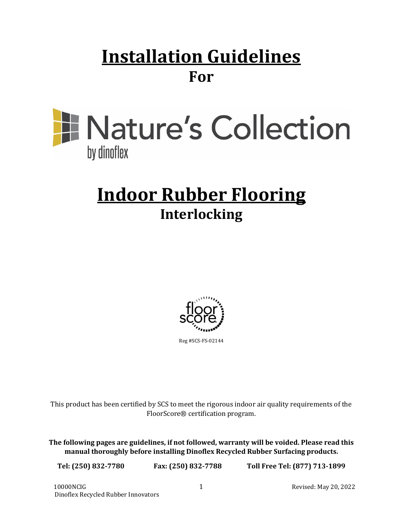# **Installation Guidelines For**



# **Indoor Rubber Flooring Interlocking**



This product has been certified by SCS to meet the rigorous indoor air quality requirements of the FloorScore® certification program.

**The following pages are guidelines, if not followed, warranty will be voided. Please read this manual thoroughly before installing Dinoflex Recycled Rubber Surfacing products.**

**Tel: (250) 832-7780 Fax: (250) 832-7788 Toll Free Tel: (877) 713-1899**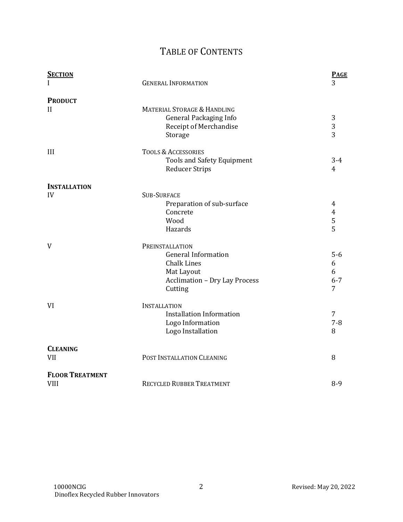# TABLE OF CONTENTS

| <b>SECTION</b><br>I                   | <b>GENERAL INFORMATION</b>                                                                                                           | <b>PAGE</b><br>3                |
|---------------------------------------|--------------------------------------------------------------------------------------------------------------------------------------|---------------------------------|
| <b>PRODUCT</b><br>$\mathbf{H}$        | <b>MATERIAL STORAGE &amp; HANDLING</b><br><b>General Packaging Info</b><br>Receipt of Merchandise<br>Storage                         | 3<br>$\mathbf{3}$<br>3          |
| III                                   | <b>TOOLS &amp; ACCESSORIES</b><br><b>Tools and Safety Equipment</b><br><b>Reducer Strips</b>                                         | $3 - 4$<br>4                    |
| <b>INSTALLATION</b><br>IV             | <b>SUB-SURFACE</b><br>Preparation of sub-surface<br>Concrete<br>Wood<br>Hazards                                                      | 4<br>$\overline{4}$<br>5<br>5   |
| V                                     | PREINSTALLATION<br><b>General Information</b><br><b>Chalk Lines</b><br>Mat Layout<br><b>Acclimation - Dry Lay Process</b><br>Cutting | $5-6$<br>6<br>6<br>$6 - 7$<br>7 |
| VI                                    | <b>INSTALLATION</b><br><b>Installation Information</b><br>Logo Information<br>Logo Installation                                      | 7<br>$7 - 8$<br>8               |
| <b>CLEANING</b><br>VII                | POST INSTALLATION CLEANING                                                                                                           | 8                               |
| <b>FLOOR TREATMENT</b><br><b>VIII</b> | <b>RECYCLED RUBBER TREATMENT</b>                                                                                                     | $8-9$                           |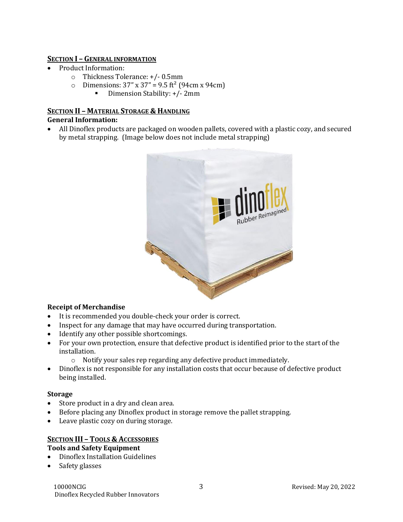#### **SECTION I – GENERAL INFORMATION**

- Product Information:
	- o Thickness Tolerance: +/- 0.5mm
	- o Dimensions:  $37'' \times 37'' = 9.5 \text{ ft}^2 (94 \text{cm} \times 94 \text{cm})$ 
		- Dimension Stability: +/- 2mm

#### **SECTION II – MATERIAL STORAGE & HANDLING General Information:**

• All Dinoflex products are packaged on wooden pallets, covered with a plastic cozy, and secured by metal strapping. (Image below does not include metal strapping)



#### **Receipt of Merchandise**

- It is recommended you double-check your order is correct.
- Inspect for any damage that may have occurred during transportation.
- Identify any other possible shortcomings.
- For your own protection, ensure that defective product is identified prior to the start of the installation.
	- o Notify your sales rep regarding any defective product immediately.
- Dinoflex is not responsible for any installation costs that occur because of defective product being installed.

#### **Storage**

- Store product in a dry and clean area.
- Before placing any Dinoflex product in storage remove the pallet strapping.
- Leave plastic cozy on during storage.

#### **SECTION III – TOOLS & ACCESSORIES**

#### **Tools and Safety Equipment**

- Dinoflex Installation Guidelines
- Safety glasses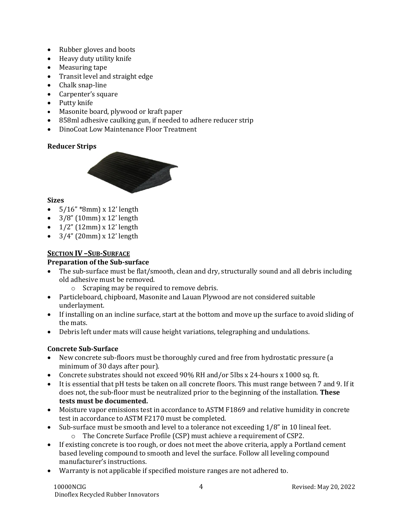- Rubber gloves and boots
- Heavy duty utility knife
- Measuring tape
- Transit level and straight edge
- Chalk snap-line
- Carpenter's square
- Putty knife
- Masonite board, plywood or kraft paper
- 858ml adhesive caulking gun, if needed to adhere reducer strip
- DinoCoat Low Maintenance Floor Treatment

# **Reducer Strips**



# **Sizes**

- $5/16''$  \*8mm) x 12' length
- $\bullet$  3/8" (10mm) x 12' length
- $1/2$ " (12mm) x 12' length
- $3/4$ " (20mm) x 12' length

# **SECTION IV –SUB-SURFACE**

# **Preparation of the Sub-surface**

- The sub-surface must be flat/smooth, clean and dry, structurally sound and all debris including old adhesive must be removed.
	- o Scraping may be required to remove debris.
- Particleboard, chipboard, Masonite and Lauan Plywood are not considered suitable underlayment.
- If installing on an incline surface, start at the bottom and move up the surface to avoid sliding of the mats.
- Debris left under mats will cause height variations, telegraphing and undulations.

# **Concrete Sub-Surface**

- New concrete sub-floors must be thoroughly cured and free from hydrostatic pressure (a minimum of 30 days after pour).
- Concrete substrates should not exceed 90% RH and/or 5lbs x 24-hours x 1000 sq. ft.
- It is essential that pH tests be taken on all concrete floors. This must range between 7 and 9. If it does not, the sub-floor must be neutralized prior to the beginning of the installation. **These tests must be documented.**
- Moisture vapor emissions test in accordance to ASTM F1869 and relative humidity in concrete test in accordance to ASTM F2170 must be completed.
- Sub-surface must be smooth and level to a tolerance not exceeding 1/8" in 10 lineal feet.
	- o The Concrete Surface Profile (CSP) must achieve a requirement of CSP2.
- If existing concrete is too rough, or does not meet the above criteria, apply a Portland cement based leveling compound to smooth and level the surface. Follow all leveling compound manufacturer's instructions.
- Warranty is not applicable if specified moisture ranges are not adhered to.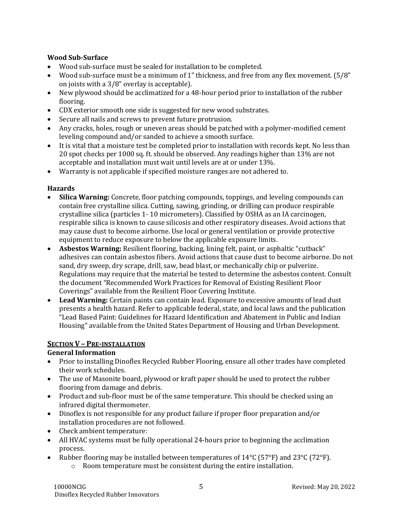#### **Wood Sub-Surface**

- Wood sub-surface must be sealed for installation to be completed.
- Wood sub-surface must be a minimum of 1" thickness, and free from any flex movement. (5/8" on joists with a 3/8" overlay is acceptable).
- New plywood should be acclimatized for a 48-hour period prior to installation of the rubber flooring.
- CDX exterior smooth one side is suggested for new wood substrates.
- Secure all nails and screws to prevent future protrusion.
- Any cracks, holes, rough or uneven areas should be patched with a polymer-modified cement leveling compound and/or sanded to achieve a smooth surface.
- It is vital that a moisture test be completed prior to installation with records kept. No less than 20 spot checks per 1000 sq. ft. should be observed. Any readings higher than 13% are not acceptable and installation must wait until levels are at or under 13%.
- Warranty is not applicable if specified moisture ranges are not adhered to.

#### **Hazards**

- **Silica Warning:** Concrete, floor patching compounds, toppings, and leveling compounds can contain free crystalline silica. Cutting, sawing, grinding, or drilling can produce respirable crystalline silica (particles 1- 10 micrometers). Classified by OSHA as an IA carcinogen, respirable silica is known to cause silicosis and other respiratory diseases. Avoid actions that may cause dust to become airborne. Use local or general ventilation or provide protective equipment to reduce exposure to below the applicable exposure limits.
- **Asbestos Warning:** Resilient flooring, backing, lining felt, paint, or asphaltic "cutback" adhesives can contain asbestos fibers. Avoid actions that cause dust to become airborne. Do not sand, dry sweep, dry scrape, drill, saw, bead blast, or mechanically chip or pulverize. Regulations may require that the material be tested to determine the asbestos content. Consult the document "Recommended Work Practices for Removal of Existing Resilient Floor Coverings" available from the Resilient Floor Covering Institute.
- **Lead Warning:** Certain paints can contain lead. Exposure to excessive amounts of lead dust presents a health hazard. Refer to applicable federal, state, and local laws and the publication "Lead Based Paint: Guidelines for Hazard Identification and Abatement in Public and Indian Housing" available from the United States Department of Housing and Urban Development.

#### **SECTION V – PRE-INSTALLATION**

#### **General Information**

- Prior to installing Dinoflex Recycled Rubber Flooring, ensure all other trades have completed their work schedules.
- The use of Masonite board, plywood or kraft paper should be used to protect the rubber flooring from damage and debris.
- Product and sub-floor must be of the same temperature. This should be checked using an infrared digital thermometer.
- Dinoflex is not responsible for any product failure if proper floor preparation and/or installation procedures are not followed.
- Check ambient temperature:
- All HVAC systems must be fully operational 24-hours prior to beginning the acclimation process.
- Rubber flooring may be installed between temperatures of  $14^{\circ}C$  (57°F) and 23°C (72°F). o Room temperature must be consistent during the entire installation.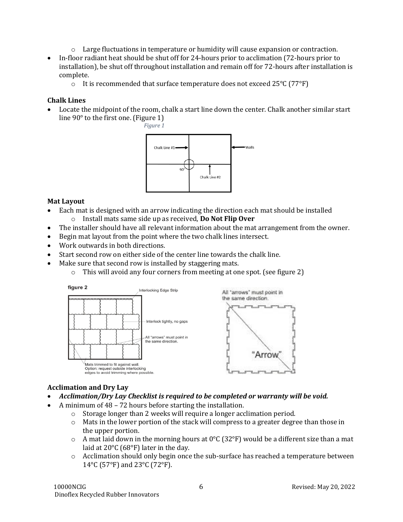- $\circ$  Large fluctuations in temperature or humidity will cause expansion or contraction.
- In-floor radiant heat should be shut off for 24-hours prior to acclimation (72-hours prior to installation), be shut off throughout installation and remain off for 72-hours after installation is complete.
	- o It is recommended that surface temperature does not exceed 25°C (77°F)

#### **Chalk Lines**

• Locate the midpoint of the room, chalk a start line down the center. Chalk another similar start line 90° to the first one. (Figure 1)





# **Mat Layout**

- Each mat is designed with an arrow indicating the direction each mat should be installed
	- o Install mats same side up as received, **Do Not Flip Over**
- The installer should have all relevant information about the mat arrangement from the owner.
- Begin mat layout from the point where the two chalk lines intersect.
- Work outwards in both directions.
- Start second row on either side of the center line towards the chalk line.
- Make sure that second row is installed by staggering mats.
	- o This will avoid any four corners from meeting at one spot. (see figure 2)



#### **Acclimation and Dry Lay**

- *Acclimation/Dry Lay Checklist is required to be completed or warranty will be void.*
- A minimum of 48 72 hours before starting the installation.
	- o Storage longer than 2 weeks will require a longer acclimation period.
	- $\circ$  Mats in the lower portion of the stack will compress to a greater degree than those in the upper portion.
	- $\circ$  A mat laid down in the morning hours at 0°C (32°F) would be a different size than a mat laid at 20°C (68°F) later in the day.
	- o Acclimation should only begin once the sub-surface has reached a temperature between 14°C (57°F) and 23°C (72°F).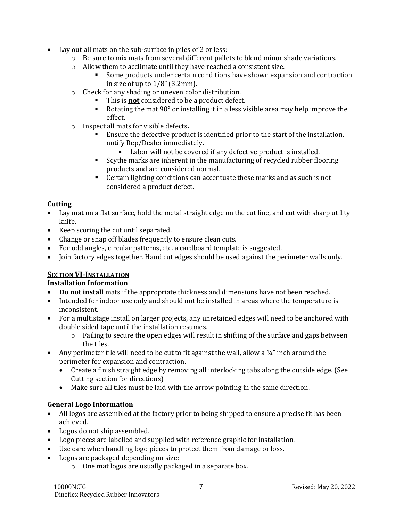- Lay out all mats on the sub-surface in piles of 2 or less:
	- o Be sure to mix mats from several different pallets to blend minor shade variations.
	- o Allow them to acclimate until they have reached a consistent size.
		- Some products under certain conditions have shown expansion and contraction in size of up to  $1/8$ " (3.2mm).
	- o Check for any shading or uneven color distribution.
		- This is **not** considered to be a product defect.
		- Rotating the mat 90° or installing it in a less visible area may help improve the effect.
	- o Inspect all mats for visible defects**.**
		- Ensure the defective product is identified prior to the start of the installation, notify Rep/Dealer immediately.
			- Labor will not be covered if any defective product is installed.
		- Scythe marks are inherent in the manufacturing of recycled rubber flooring products and are considered normal.
		- Certain lighting conditions can accentuate these marks and as such is not considered a product defect.

#### **Cutting**

- Lay mat on a flat surface, hold the metal straight edge on the cut line, and cut with sharp utility knife.
- Keep scoring the cut until separated.
- Change or snap off blades frequently to ensure clean cuts.
- For odd angles, circular patterns, etc. a cardboard template is suggested.
- Join factory edges together. Hand cut edges should be used against the perimeter walls only.

# **SECTION VI-INSTALLATION**

#### **Installation Information**

- **Do not install** mats if the appropriate thickness and dimensions have not been reached.
- Intended for indoor use only and should not be installed in areas where the temperature is inconsistent.
- For a multistage install on larger projects, any unretained edges will need to be anchored with double sided tape until the installation resumes.
	- $\circ$  Failing to secure the open edges will result in shifting of the surface and gaps between the tiles.
- Any perimeter tile will need to be cut to fit against the wall, allow a  $\frac{1}{4}$ " inch around the perimeter for expansion and contraction.
	- Create a finish straight edge by removing all interlocking tabs along the outside edge. (See Cutting section for directions)
	- Make sure all tiles must be laid with the arrow pointing in the same direction.

#### **General Logo Information**

- All logos are assembled at the factory prior to being shipped to ensure a precise fit has been achieved.
- Logos do not ship assembled.
- Logo pieces are labelled and supplied with reference graphic for installation.
- Use care when handling logo pieces to protect them from damage or loss.
- Logos are packaged depending on size:
	- o One mat logos are usually packaged in a separate box.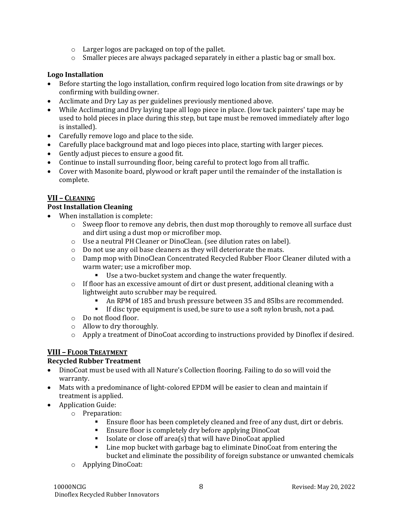- o Larger logos are packaged on top of the pallet.
- $\circ$  Smaller pieces are always packaged separately in either a plastic bag or small box.

#### **Logo Installation**

- Before starting the logo installation, confirm required logo location from site drawings or by confirming with building owner.
- Acclimate and Dry Lay as per guidelines previously mentioned above.
- While Acclimating and Dry laying tape all logo piece in place. (low tack painters' tape may be used to hold pieces in place during this step, but tape must be removed immediately after logo is installed).
- Carefully remove logo and place to the side.
- Carefully place background mat and logo pieces into place, starting with larger pieces.
- Gently adjust pieces to ensure a good fit.
- Continue to install surrounding floor, being careful to protect logo from all traffic.
- Cover with Masonite board, plywood or kraft paper until the remainder of the installation is complete.

# **VII – CLEANING**

#### **Post Installation Cleaning**

- When installation is complete:
	- o Sweep floor to remove any debris, then dust mop thoroughly to remove all surface dust and dirt using a dust mop or microfiber mop.
	- o Use a neutral PH Cleaner or DinoClean. (see dilution rates on label).
	- o Do not use any oil base cleaners as they will deteriorate the mats.
	- o Damp mop with DinoClean Concentrated Recycled Rubber Floor Cleaner diluted with a warm water; use a microfiber mop.
		- Use a two-bucket system and change the water frequently.
	- $\circ$  If floor has an excessive amount of dirt or dust present, additional cleaning with a lightweight auto scrubber may be required.
		- An RPM of 185 and brush pressure between 35 and 85lbs are recommended.
		- **·** If disc type equipment is used, be sure to use a soft nylon brush, not a pad.
	- o Do not flood floor.
	- o Allow to dry thoroughly.
	- $\circ$  Apply a treatment of DinoCoat according to instructions provided by Dinoflex if desired.

# **VIII – FLOOR TREATMENT**

#### **Recycled Rubber Treatment**

- DinoCoat must be used with all Nature's Collection flooring. Failing to do so will void the warranty.
- Mats with a predominance of light-colored EPDM will be easier to clean and maintain if treatment is applied.
- Application Guide:
	- o Preparation:
		- **Ensure floor has been completely cleaned and free of any dust, dirt or debris.**
		- Ensure floor is completely dry before applying DinoCoat
		- Isolate or close off area(s) that will have DinoCoat applied
		- Line mop bucket with garbage bag to eliminate DinoCoat from entering the bucket and eliminate the possibility of foreign substance or unwanted chemicals
	- o Applying DinoCoat: